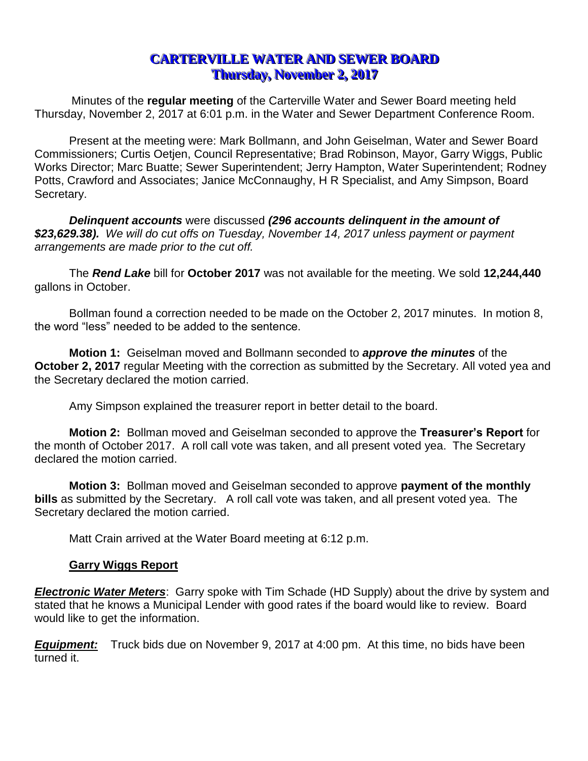# **CARTERVILLE WATER AND SEWER BOARD Thursday, November 2, 2017**

Minutes of the **regular meeting** of the Carterville Water and Sewer Board meeting held Thursday, November 2, 2017 at 6:01 p.m. in the Water and Sewer Department Conference Room.

Present at the meeting were: Mark Bollmann, and John Geiselman, Water and Sewer Board Commissioners; Curtis Oetjen, Council Representative; Brad Robinson, Mayor, Garry Wiggs, Public Works Director; Marc Buatte; Sewer Superintendent; Jerry Hampton, Water Superintendent; Rodney Potts, Crawford and Associates; Janice McConnaughy, H R Specialist, and Amy Simpson, Board Secretary.

*Delinquent accounts* were discussed *(296 accounts delinquent in the amount of \$23,629.38). We will do cut offs on Tuesday, November 14, 2017 unless payment or payment arrangements are made prior to the cut off.*

The *Rend Lake* bill for **October 2017** was not available for the meeting. We sold **12,244,440** gallons in October.

Bollman found a correction needed to be made on the October 2, 2017 minutes. In motion 8, the word "less" needed to be added to the sentence.

**Motion 1:** Geiselman moved and Bollmann seconded to *approve the minutes* of the **October 2, 2017** regular Meeting with the correction as submitted by the Secretary. All voted yea and the Secretary declared the motion carried.

Amy Simpson explained the treasurer report in better detail to the board.

**Motion 2:** Bollman moved and Geiselman seconded to approve the **Treasurer's Report** for the month of October 2017. A roll call vote was taken, and all present voted yea. The Secretary declared the motion carried.

**Motion 3:** Bollman moved and Geiselman seconded to approve **payment of the monthly bills** as submitted by the Secretary. A roll call vote was taken, and all present voted yea. The Secretary declared the motion carried.

Matt Crain arrived at the Water Board meeting at 6:12 p.m.

# **Garry Wiggs Report**

*Electronic Water Meters*: Garry spoke with Tim Schade (HD Supply) about the drive by system and stated that he knows a Municipal Lender with good rates if the board would like to review. Board would like to get the information.

*Equipment:* Truck bids due on November 9, 2017 at 4:00 pm. At this time, no bids have been turned it.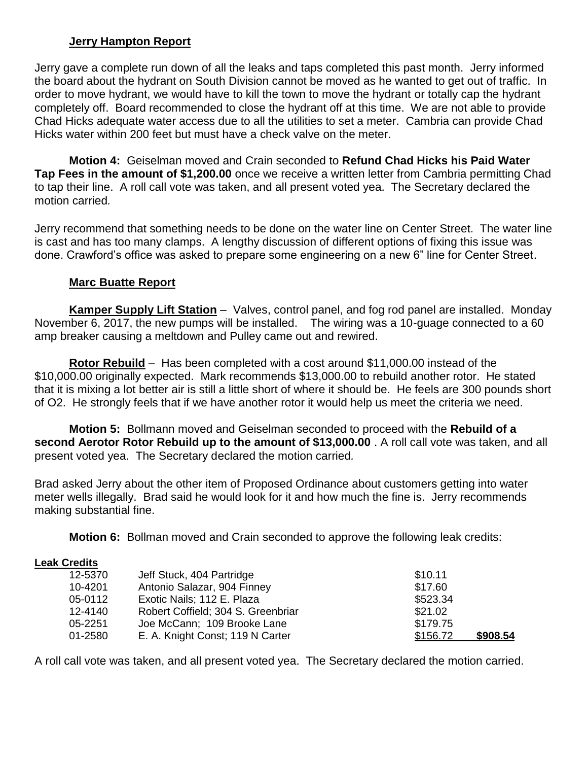# **Jerry Hampton Report**

Jerry gave a complete run down of all the leaks and taps completed this past month. Jerry informed the board about the hydrant on South Division cannot be moved as he wanted to get out of traffic. In order to move hydrant, we would have to kill the town to move the hydrant or totally cap the hydrant completely off. Board recommended to close the hydrant off at this time. We are not able to provide Chad Hicks adequate water access due to all the utilities to set a meter. Cambria can provide Chad Hicks water within 200 feet but must have a check valve on the meter.

**Motion 4:** Geiselman moved and Crain seconded to **Refund Chad Hicks his Paid Water Tap Fees in the amount of \$1,200.00** once we receive a written letter from Cambria permitting Chad to tap their line. A roll call vote was taken, and all present voted yea. The Secretary declared the motion carried*.*

Jerry recommend that something needs to be done on the water line on Center Street. The water line is cast and has too many clamps. A lengthy discussion of different options of fixing this issue was done. Crawford's office was asked to prepare some engineering on a new 6" line for Center Street.

### **Marc Buatte Report**

**Kamper Supply Lift Station** *–* Valves, control panel, and fog rod panel are installed. Monday November 6, 2017, the new pumps will be installed. The wiring was a 10-guage connected to a 60 amp breaker causing a meltdown and Pulley came out and rewired.

**Rotor Rebuild** – Has been completed with a cost around \$11,000.00 instead of the \$10,000.00 originally expected. Mark recommends \$13,000.00 to rebuild another rotor. He stated that it is mixing a lot better air is still a little short of where it should be. He feels are 300 pounds short of O2. He strongly feels that if we have another rotor it would help us meet the criteria we need.

**Motion 5:** Bollmann moved and Geiselman seconded to proceed with the **Rebuild of a second Aerotor Rotor Rebuild up to the amount of \$13,000.00** . A roll call vote was taken, and all present voted yea. The Secretary declared the motion carried*.*

Brad asked Jerry about the other item of Proposed Ordinance about customers getting into water meter wells illegally. Brad said he would look for it and how much the fine is. Jerry recommends making substantial fine.

**Motion 6:** Bollman moved and Crain seconded to approve the following leak credits:

#### **Leak Credits**

| 12-5370 | Jeff Stuck, 404 Partridge          | \$10.11  |          |
|---------|------------------------------------|----------|----------|
| 10-4201 | Antonio Salazar, 904 Finney        | \$17.60  |          |
| 05-0112 | Exotic Nails; 112 E. Plaza         | \$523.34 |          |
| 12-4140 | Robert Coffield; 304 S. Greenbriar | \$21.02  |          |
| 05-2251 | Joe McCann; 109 Brooke Lane        | \$179.75 |          |
| 01-2580 | E. A. Knight Const; 119 N Carter   | \$156.72 | \$908.54 |

A roll call vote was taken, and all present voted yea. The Secretary declared the motion carried*.*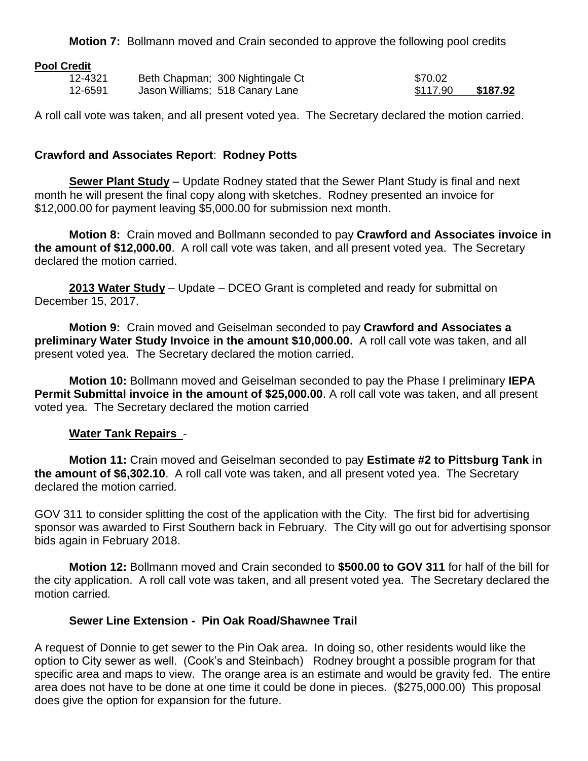**Motion 7:** Bollmann moved and Crain seconded to approve the following pool credits

#### **Pool Credit**

| 12-4321 | Beth Chapman; 300 Nightingale Ct | \$70.02  |          |
|---------|----------------------------------|----------|----------|
| 12-6591 | Jason Williams; 518 Canary Lane  | \$117.90 | \$187.92 |

A roll call vote was taken, and all present voted yea. The Secretary declared the motion carried.

# **Crawford and Associates Report**: **Rodney Potts**

**Sewer Plant Study** – Update Rodney stated that the Sewer Plant Study is final and next month he will present the final copy along with sketches. Rodney presented an invoice for \$12,000.00 for payment leaving \$5,000.00 for submission next month.

**Motion 8:** Crain moved and Bollmann seconded to pay **Crawford and Associates invoice in the amount of \$12,000.00**. A roll call vote was taken, and all present voted yea. The Secretary declared the motion carried.

**2013 Water Study** – Update – DCEO Grant is completed and ready for submittal on December 15, 2017.

**Motion 9:** Crain moved and Geiselman seconded to pay **Crawford and Associates a preliminary Water Study Invoice in the amount \$10,000.00.** A roll call vote was taken, and all present voted yea. The Secretary declared the motion carried.

**Motion 10:** Bollmann moved and Geiselman seconded to pay the Phase I preliminary **IEPA Permit Submittal invoice in the amount of \$25,000.00**. A roll call vote was taken, and all present voted yea. The Secretary declared the motion carried

### **Water Tank Repairs** -

**Motion 11:** Crain moved and Geiselman seconded to pay **Estimate #2 to Pittsburg Tank in the amount of \$6,302.10**. A roll call vote was taken, and all present voted yea. The Secretary declared the motion carried*.*

GOV 311 to consider splitting the cost of the application with the City. The first bid for advertising sponsor was awarded to First Southern back in February. The City will go out for advertising sponsor bids again in February 2018.

**Motion 12:** Bollmann moved and Crain seconded to **\$500.00 to GOV 311** for half of the bill for the city application. A roll call vote was taken, and all present voted yea. The Secretary declared the motion carried*.*

### **Sewer Line Extension - Pin Oak Road/Shawnee Trail**

A request of Donnie to get sewer to the Pin Oak area. In doing so, other residents would like the option to City sewer as well. (Cook's and Steinbach) Rodney brought a possible program for that specific area and maps to view. The orange area is an estimate and would be gravity fed. The entire area does not have to be done at one time it could be done in pieces. (\$275,000.00) This proposal does give the option for expansion for the future.